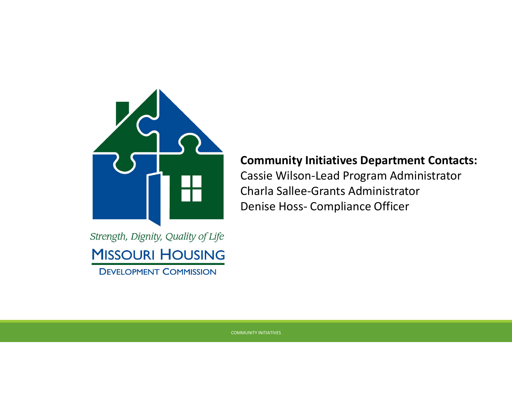

### **Community Initiatives Department Contacts:**

Cassie Wilson-Lead Program Administrator Charla Sallee-Grants Administrator Denise Hoss- Compliance Officer

Strength, Dignity, Quality of Life **MISSOURI HOUSING DEVELOPMENT COMMISSION**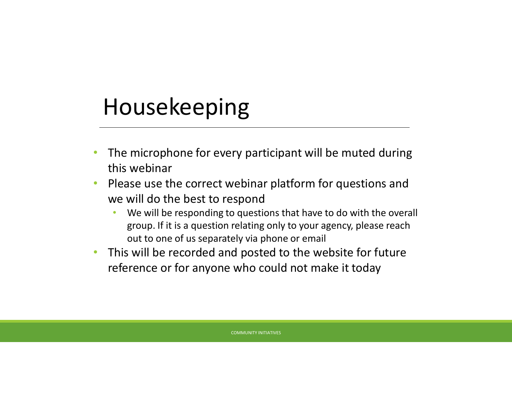## Housekeeping

- The microphone for every participant will be muted during this webinar
- Please use the correct webinar platform for questions and we will do the best to respond
	- We will be responding to questions that have to do with the overall group. If it is a question relating only to your agency, please reach out to one of us separately via phone or email
- This will be recorded and posted to the website for future reference or for anyone who could not make it today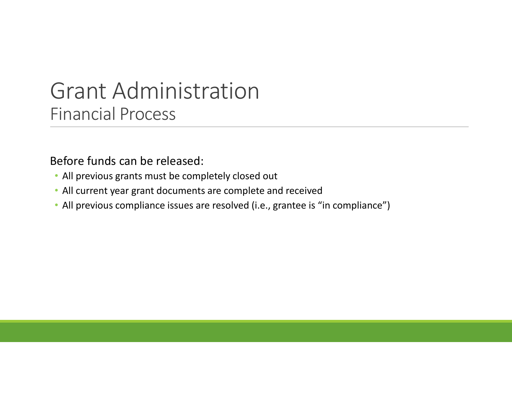Before funds can be released:

- All previous grants must be completely closed out
- All current year grant documents are complete and received
- All previous compliance issues are resolved (i.e., grantee is "in compliance")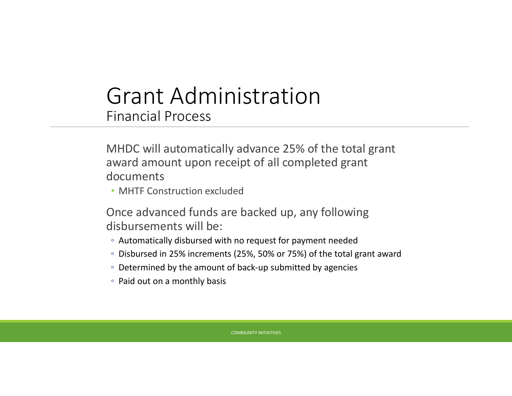MHDC will automatically advance 25% of the total grant award amount upon receipt of all completed grant documents

• MHTF Construction excluded

Once advanced funds are backed up, any following disbursements will be:

- Automatically disbursed with no request for payment needed
- Disbursed in 25% increments (25%, 50% or 75%) of the total grant award
- Determined by the amount of back-up submitted by agencies
- Paid out on a monthly basis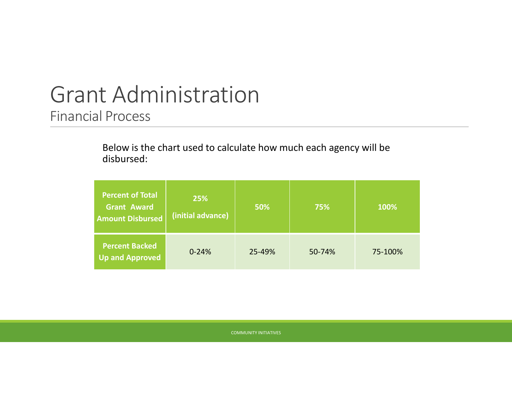Below is the chart used to calculate how much each agency will be disbursed:

| <b>Percent of Total</b><br>Grant Award<br><b>Amount Disbursed</b> | 25%<br>(initial advance) | 50%    | 75%    | 100%    |
|-------------------------------------------------------------------|--------------------------|--------|--------|---------|
| <b>Percent Backed</b><br><b>Up and Approved</b>                   | $0 - 24%$                | 25-49% | 50-74% | 75-100% |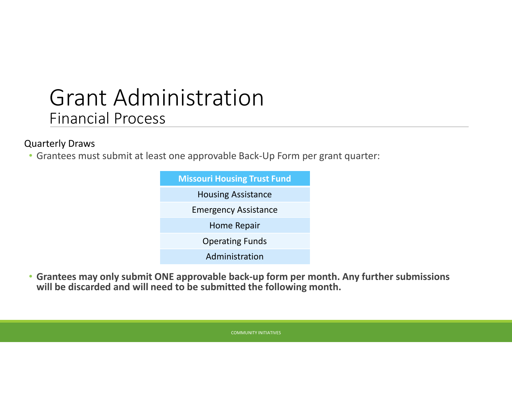### Quarterly Draws

• Grantees must submit at least one approvable Back-Up Form per grant quarter:



• **Grantees may only submit ONE approvable back-up form per month. Any further submissions will be discarded and will need to be submitted the following month.**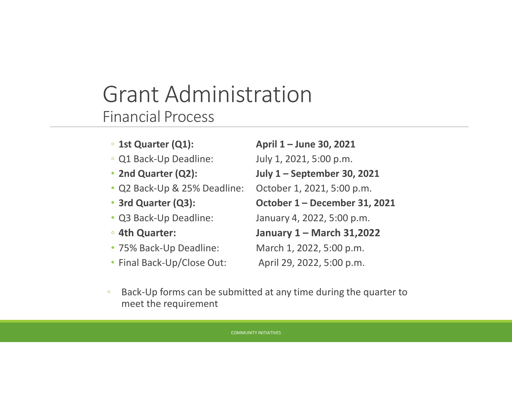- 
- Q1 Back-Up Deadline: July 1, 2021, 5:00 p.m.
- 
- Q2 Back-Up & 25% Deadline: October 1, 2021, 5:00 p.m.
- 
- 
- 
- 
- Final Back-Up/Close Out: April 29, 2022, 5:00 p.m.

◦ **1st Quarter (Q1): April 1 – June 30, 2021** • **2nd Quarter (Q2): July 1 – September 30, 2021** • **3rd Quarter (Q3): October 1 – December 31, 2021** • Q3 Back-Up Deadline: January 4, 2022, 5:00 p.m. ◦ **4th Quarter: January 1 – March 31,2022** • 75% Back-Up Deadline: March 1, 2022, 5:00 p.m.

◦ Back-Up forms can be submitted at any time during the quarter to meet the requirement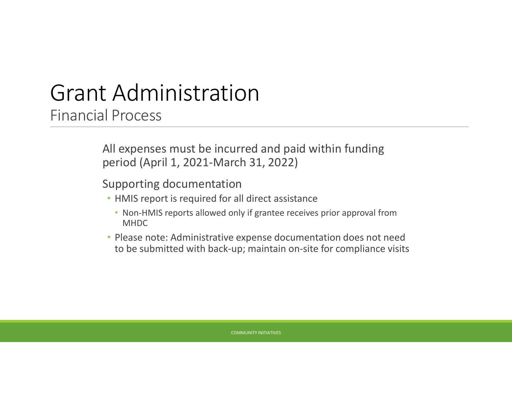All expenses must be incurred and paid within funding period (April 1, 2021-March 31, 2022)

Supporting documentation

- HMIS report is required for all direct assistance
	- Non-HMIS reports allowed only if grantee receives prior approval from MHDC
- Please note: Administrative expense documentation does not need to be submitted with back-up; maintain on-site for compliance visits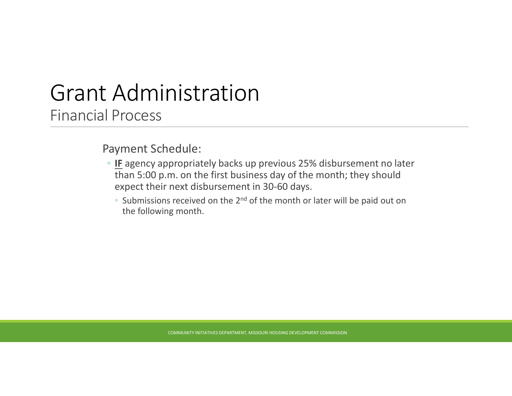Payment Schedule:

- **IF** agency appropriately backs up previous 25% disbursement no later than 5:00 p.m. on the first business day of the month; they should expect their next disbursement in 30-60 days.
	- Submissions received on the 2nd of the month or later will be paid out on the following month.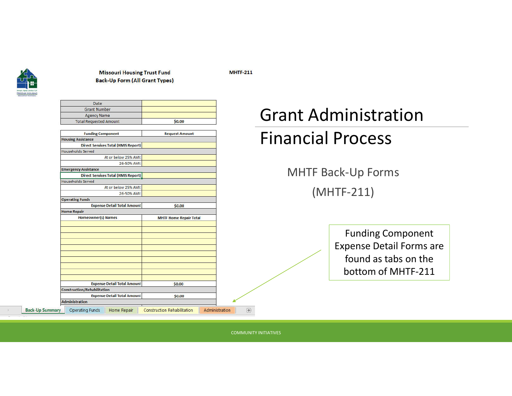

**Back-Up Summar** 

#### **Missouri Housing Trust Fund Back-Up Form (All Grant Types)**

**MHTF-211** 

| <b>Date</b>                                  |                                                      |
|----------------------------------------------|------------------------------------------------------|
| <b>Grant Number</b>                          |                                                      |
| <b>Agency Name</b>                           |                                                      |
| <b>Total Requested Amount</b>                | \$0.00                                               |
| <b>Funding Component</b>                     | <b>Request Amount</b>                                |
| <b>Housing Assistance</b>                    |                                                      |
| <b>Direct Services Total (HMIS Report)</b>   |                                                      |
| Households Served                            |                                                      |
| At or below 25% AMI:                         |                                                      |
| 26-50% AMI:                                  |                                                      |
| <b>Emergency Assistance</b>                  |                                                      |
| <b>Direct Services Total (HMIS Report)</b>   |                                                      |
| <b>Households Served</b>                     |                                                      |
| At or below 25% AMI:                         |                                                      |
| 26-50% AMI:                                  |                                                      |
| <b>Operating Funds</b>                       |                                                      |
| <b>Expense Detail Total Amount</b>           | \$0.00                                               |
| <b>Home Repair</b>                           |                                                      |
| <b>Homeowner(s) Names</b>                    | <b>MHTF Home Repair Total</b>                        |
|                                              |                                                      |
|                                              |                                                      |
|                                              |                                                      |
|                                              |                                                      |
|                                              |                                                      |
|                                              |                                                      |
|                                              |                                                      |
|                                              |                                                      |
|                                              |                                                      |
|                                              |                                                      |
| <b>Expense Detail Total Amount</b>           | \$0.00                                               |
| <b>Construction/Rehabilitation</b>           |                                                      |
| <b>Expense Detail Total Amount</b>           | \$0.00                                               |
| <b>Administration</b>                        |                                                      |
| <b>Operating Funds</b><br><b>Home Repair</b> | Administration<br><b>Construction Rehabilitation</b> |
|                                              |                                                      |

### Grant Administration Financial Process

MHTF Back-Up Forms (MHTF-211)

> Funding Component Expense Detail Forms are found as tabs on the bottom of MHTF-211

COMMUNITY INITIATIVES

 $\bigoplus$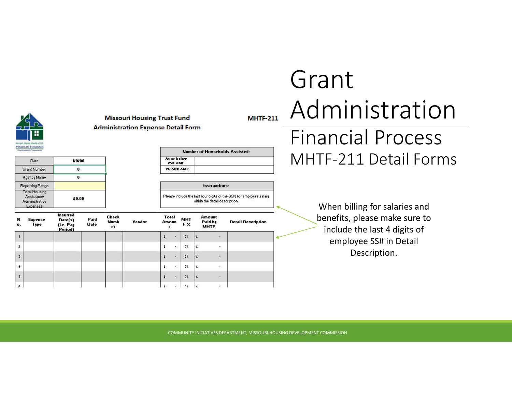

**Missouri Housing Trust Fund Administration Expense Detail Form** 

> $\overline{\phantom{a}}$  $\cdot$

| Date.                                                                          | 1/0/00 |
|--------------------------------------------------------------------------------|--------|
| <b>Grant Number</b>                                                            | 0      |
| Agency Name                                                                    |        |
| <b>Reporting Range</b>                                                         |        |
| <b>Total Housing</b><br><b>Assistance</b><br>Administrative<br><b>Expenses</b> | \$0.00 |

| <b>Number of Households Assisted:</b> |  |  |  |  |
|---------------------------------------|--|--|--|--|
| t or below<br>25% AMI:                |  |  |  |  |
| <b>-IMA 107-3</b>                     |  |  |  |  |

**Instructions:** Please include the last four digits of the SSN for employee salary within the detail description.

| N<br>о.        | <b>Expense</b><br>Type. | Incurred<br>Date(s)<br>(i.e. Pag<br>Period) | Paid<br><b>Date</b> | <b>Check</b><br><b>Numb</b><br>er | Vendor | Amoun           | <b>Total</b> | <b>MHT</b><br>F % |                          | Amount<br>Paid by<br><b>MHTF</b> | <b>Detail Description</b> |  |
|----------------|-------------------------|---------------------------------------------|---------------------|-----------------------------------|--------|-----------------|--------------|-------------------|--------------------------|----------------------------------|---------------------------|--|
|                |                         | <b>CONCRETE</b>                             |                     |                                   |        | л               | ٠            | 0 <sup>2</sup>    |                          | 图                                |                           |  |
| $\overline{2}$ |                         |                                             |                     |                                   |        | Ŧ.              | $\sim$       | 15.50<br>0%       |                          | 款                                |                           |  |
| 3              |                         |                                             |                     |                                   |        | $\pmb{\ddot{}}$ | ×            | 0%                | $\overline{\phantom{a}}$ | $\mathcal{R}^{\mathcal{N}}$      |                           |  |
| 4              |                         |                                             |                     |                                   |        | \$.             | ×.           | 0%                | \$                       | B.                               |                           |  |
| 5              |                         |                                             |                     |                                   |        | $\ddagger$      | œ,           | 0 <sup>2</sup>    | $\vert$ :                | ¥,                               |                           |  |
| -6             |                         |                                             |                     |                                   |        | $\mathbf{t}$    | 가            | nz                | l t                      | S.                               |                           |  |

### Grant Administration Financial Process MHTF-211 Detail Forms

When billing for salaries and benefits, please make sure to include the last 4 digits of employee SS# in Detail Description.

COMMUNITY INITIATIVES DEPARTMENT, MISSOURI HOUSING DEVELOPMENT COMMISSION

**MHTF-211**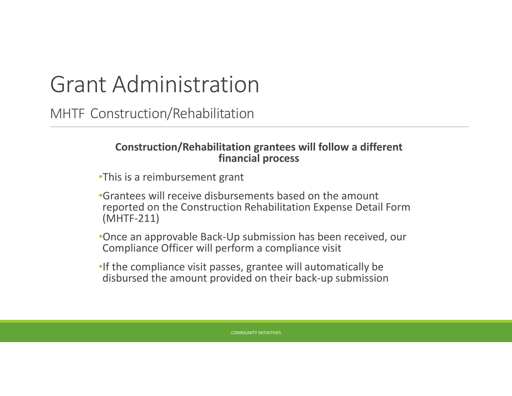## Grant Administration

MHTF Construction/Rehabilitation

### **Construction/Rehabilitation grantees will follow a different financial process**

- •This is a reimbursement grant
- •Grantees will receive disbursements based on the amount reported on the Construction Rehabilitation Expense Detail Form (MHTF-211)
- •Once an approvable Back-Up submission has been received, our Compliance Officer will perform a compliance visit
- •If the compliance visit passes, grantee will automatically be disbursed the amount provided on their back-up submission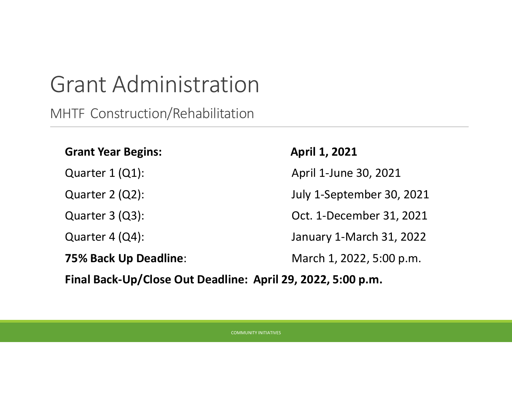## Grant Administration

MHTF Construction/Rehabilitation

### **Grant Year Begins: April 1, 2021**

Quarter 1 (Q1): April 1-June 30, 2021

Quarter 2 (Q2): July 1-September 30, 2021

Quarter 3 (Q3): Oct. 1-December 31, 2021

Quarter 4 (Q4): January 1-March 31, 2022

**75% Back Up Deadline:** March 1, 2022, 5:00 p.m.

**Final Back-Up/Close Out Deadline: April 29, 2022, 5:00 p.m.**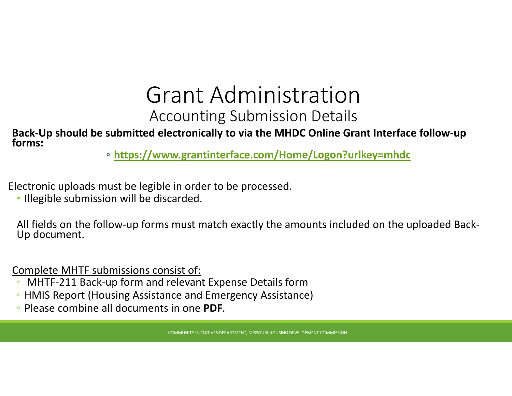### Grant Administration Accounting Submission Details

**Back-Up should be submitted electronically to via the MHDC Online Grant Interface follow-up forms:**

◦ **https://www.grantinterface.com/Home/Logon?urlkey=mhdc**

Electronic uploads must be legible in order to be processed.

• Illegible submission will be discarded.

All fields on the follow-up forms must match exactly the amounts included on the uploaded Back- Up document.

Complete MHTF submissions consist of:

- MHTF-211 Back-up form and relevant Expense Details form
- HMIS Report (Housing Assistance and Emergency Assistance)
- Please combine all documents in one **PDF**.

COMMUNITY INITIATIVES DEPARTMENT, MISSOURI HOUSING DEVELOPMENT COMMISSION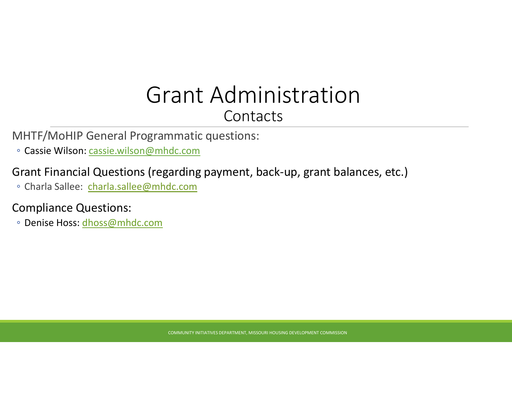### Grant Administration **Contacts**

MHTF/MoHIP General Programmatic questions:

◦ Cassie Wilson: cassie.wilson@mhdc.com

### Grant Financial Questions (regarding payment, back-up, grant balances, etc.)

◦ Charla Sallee: charla.sallee@mhdc.com

### Compliance Questions:

◦ Denise Hoss: dhoss@mhdc.com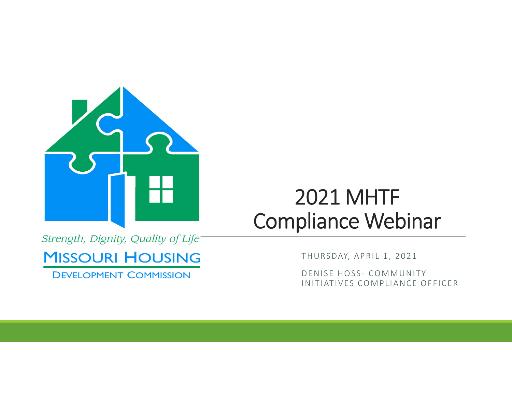

### 2021 MHTF Compliance Webinar

Strength, Dignity, Quality of Life-

**MISSOURI HOUSING** 

**DEVELOPMENT COMMISSION** 

THURSDAY, APRIL 1, 2021

DENISE HOSS- COMMUNITY IN ITIATIVES COMPLIANCE OFFICER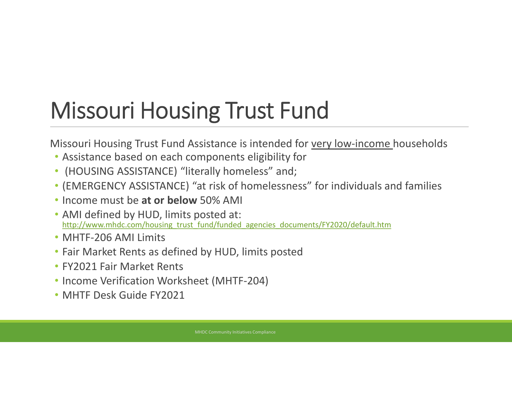# Missouri Housing Trust Fund

Missouri Housing Trust Fund Assistance is intended for very low-income households

- Assistance based on each components eligibility for
- (HOUSING ASSISTANCE) "literally homeless" and;
- (EMERGENCY ASSISTANCE) "at risk of homelessness" for individuals and families
- Income must be **at or below** 50% AMI
- AMI defined by HUD, limits posted at: http://www.mhdc.com/housing\_trust\_fund/funded\_agencies\_documents/FY2020/default.htm
- MHTF-206 AMI Limits
- Fair Market Rents as defined by HUD, limits posted
- FY2021 Fair Market Rents
- Income Verification Worksheet (MHTF-204)
- MHTF Desk Guide FY2021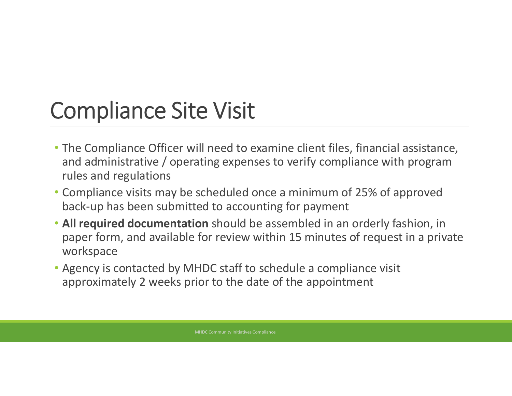# Compliance Site Visit

- The Compliance Officer will need to examine client files, financial assistance, and administrative / operating expenses to verify compliance with program rules and regulations
- Compliance visits may be scheduled once a minimum of 25% of approved back-up has been submitted to accounting for payment
- **All required documentation** should be assembled in an orderly fashion, in paper form, and available for review within 15 minutes of request in a private workspace
- Agency is contacted by MHDC staff to schedule a compliance visit approximately 2 weeks prior to the date of the appointment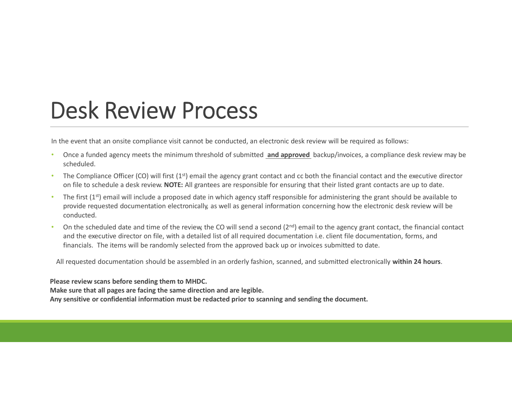## Desk Review Process

In the event that an onsite compliance visit cannot be conducted, an electronic desk review will be required as follows:

- Once a funded agency meets the minimum threshold of submitted **and approved** backup/invoices, a compliance desk review may be scheduled.
- The Compliance Officer (CO) will first  $(1<sup>st</sup>)$  email the agency grant contact and cc both the financial contact and the executive director on file to schedule a desk review. **NOTE:** All grantees are responsible for ensuring that their listed grant contacts are up to date.
- The first  $(1^{st})$  email will include a proposed date in which agency staff responsible for administering the grant should be available to provide requested documentation electronically, as well as general information concerning how the electronic desk review will be conducted.
- On the scheduled date and time of the review, the CO will send a second  $(2^{nd})$  email to the agency grant contact, the financial contact and the executive director on file, with a detailed list of all required documentation i.e. client file documentation, forms, and financials. The items will be randomly selected from the approved back up or invoices submitted to date.

All requested documentation should be assembled in an orderly fashion, scanned, and submitted electronically **within 24 hours**.

**Please review scans before sending them to MHDC.**

**Make sure that all pages are facing the same direction and are legible.**

**Any sensitive or confidential information must be redacted prior to scanning and sending the document.**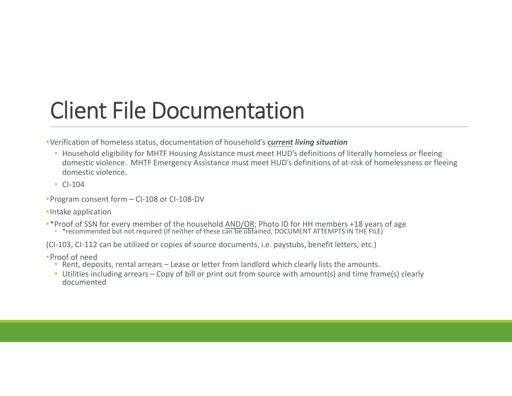## Client File Documentation

- •Verification of homeless status, documentation of household's *current living situation*
	- Household eligibility for MHTF Housing Assistance must meet HUD's definitions of literally homeless or fleeing domestic violence. MHTF Emergency Assistance must meet HUD's definitions of at-risk of homelessness or fleeing domestic violence.
	- CI-104
- •Program consent form CI-108 or CI-108-DV
- •Intake application
- •\* Proof of SSN for every member of the household AND/OR; Photo ID for HH members +18 years of age \* recommended but not required (If neither of these can be obtained, DOCUMENT ATTEMPTS IN THE FILE)
	-

(CI-103, CI-112 can be utilized or copies of source documents, i.e. paystubs, benefit letters, etc.)

- •Proof of need
	- Rent, deposits, rental arrears Lease or letter from landlord which clearly lists the amounts.
	- Utilities including arrears Copy of bill or print out from source with amount(s) and time frame(s) clearly documented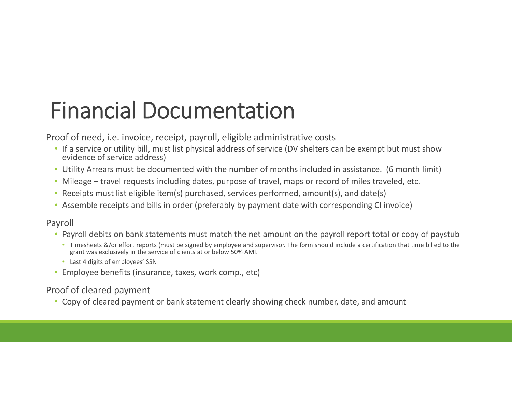# Financial Documentation

Proof of need, i.e. invoice, receipt, payroll, eligible administrative costs

- If a service or utility bill, must list physical address of service (DV shelters can be exempt but must show evidence of service address)
- Utility Arrears must be documented with the number of months included in assistance. (6 month limit)
- Mileage travel requests including dates, purpose of travel, maps or record of miles traveled, etc.
- Receipts must list eligible item(s) purchased, services performed, amount(s), and date(s)
- Assemble receipts and bills in order (preferably by payment date with corresponding CI invoice)

### Payroll

- Payroll debits on bank statements must match the net amount on the payroll report total or copy of paystub
	- Timesheets &/or effort reports (must be signed by employee and supervisor. The form should include a certification that time billed to the grant was exclusively in the service of clients at or below 50% AMI.
	- Last 4 digits of employees' SSN
- Employee benefits (insurance, taxes, work comp., etc)

### Proof of cleared payment

• Copy of cleared payment or bank statement clearly showing check number, date, and amount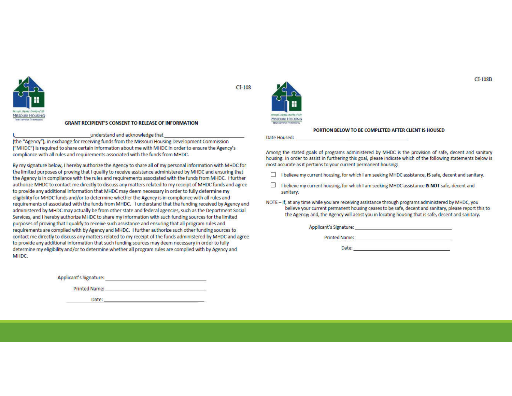

#### **GRANT RECIPIENT'S CONSENT TO RELEASE OF INFORMATION**

#### understand and acknowledge that

(the "Agency"), in exchange for receiving funds from the Missouri Housing Development Commission ("MHDC") is required to share certain information about me with MHDC in order to ensure the Agency's compliance with all rules and requirements associated with the funds from MHDC.

By my signature below, I hereby authorize the Agency to share all of my personal information with MHDC for the limited purposes of proving that I qualify to receive assistance administered by MHDC and ensuring that the Agency is in compliance with the rules and requirements associated with the funds from MHDC. I further authorize MHDC to contact me directly to discuss any matters related to my receipt of MHDC funds and agree to provide any additional information that MHDC may deem necessary in order to fully determine my eligibility for MHDC funds and/or to determine whether the Agency is in compliance with all rules and requirements of associated with the funds from MHDC. I understand that the funding received by Agency and administered by MHDC may actually be from other state and federal agencies, such as the Department Social Services, and I hereby authorize MHDC to share my information with such funding sources for the limited purposes of proving that I qualify to receive such assistance and ensuring that all program rules and requirements are complied with by Agency and MHDC. I further authorize such other funding sources to contact me directly to discuss any matters related to my receipt of the funds administered by MHDC and agree to provide any additional information that such funding sources may deem necessary in order to fully determine my eligibility and/or to determine whether all program rules are complied with by Agency and MHDC.

Applicant's Signature: The Contract of the Contract of the Contract of the Contract of the Contract of the Contract of the Contract of the Contract of the Contract of the Contract of the Contract of the Contract of the Con

Printed Name: The Committee of the Committee of the Committee of the Committee of the Committee of the Committee

Date:



#### PORTION BELOW TO BE COMPLETED AFTER CLIENT IS HOUSED

Date Housed:

CI-108

Among the stated goals of programs administered by MHDC is the provision of safe, decent and sanitary housing. In order to assist in furthering this goal, please indicate which of the following statements below is most accurate as it pertains to your current permanent housing:

- I believe my current housing, for which I am seeking MHDC assistance, IS safe, decent and sanitary.
- □ I believe my current housing, for which I am seeking MHDC assistance IS NOT safe, decent and sanitary.
- NOTE If, at any time while you are receiving assistance through programs administered by MHDC, you believe your current permanent housing ceases to be safe, decent and sanitary, please report this to the Agency; and, the Agency will assist you in locating housing that is safe, decent and sanitary.

Applicant's Signature: North Applicant Science Applicant Science Applicant Contract Contract Contract Contract Contract Contract Contract Contract Contract Contract Contract Contract Contract Contract Contract Contract Con

**Printed Name:** 

Date: http://www.archive.com/communications/communications/communications/communications/communications/communications/communications/communications/communications/communications/communications/communications/communication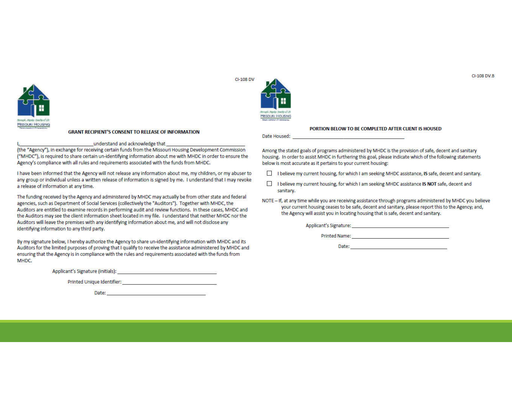

#### **GRANT RECIPIENT'S CONSENT TO RELEASE OF INFORMATION**

#### understand and acknowledge that

(the "Agency"), in exchange for receiving certain funds from the Missouri Housing Development Commission ("MHDC"), is required to share certain un-identifying information about me with MHDC in order to ensure the Agency's compliance with all rules and requirements associated with the funds from MHDC.

I have been informed that the Agency will not release any information about me, my children, or my abuser to any group or individual unless a written release of information is signed by me. I understand that I may revoke a release of information at any time.

The funding received by the Agency and administered by MHDC may actually be from other state and federal agencies, such as Department of Social Services (collectively the "Auditors"). Together with MHDC, the Auditors are entitled to examine records in performing audit and review functions. In these cases, MHDC and the Auditors may see the client information sheet located in my file. I understand that neither MHDC nor the Auditors will leave the premises with any identifying information about me, and will not disclose any identifying information to any third party.

By my signature below, I hereby authorize the Agency to share un-identifying information with MHDC and its Auditors for the limited purposes of proving that I qualify to receive the assistance administered by MHDC and ensuring that the Agency is in compliance with the rules and requirements associated with the funds from MHDC.

Applicant's Signature (initials): Applicant is a state of the state of the state of the state of the state of the state of the state of the state of the state of the state of the state of the state of the state of the stat

Printed Unique Identifier: North American State of American State of American State of American State of American

Date: http://www.com/communications/communications/communications/communications/communications/communications



#### PORTION BELOW TO BE COMPLETED AFTER CLIENT IS HOUSED

Date Housed:

Among the stated goals of programs administered by MHDC is the provision of safe, decent and sanitary housing. In order to assist MHDC in furthering this goal, please indicate which of the following statements below is most accurate as it pertains to your current housing:

- I believe my current housing, for which I am seeking MHDC assistance, IS safe, decent and sanitary.
- $\Box$ I believe my current housing, for which I am seeking MHDC assistance IS NOT safe, decent and sanitary.
- NOTE If, at any time while you are receiving assistance through programs administered by MHDC you believe your current housing ceases to be safe, decent and sanitary, please report this to the Agency; and, the Agency will assist you in locating housing that is safe, decent and sanitary.

Printed Name: The Commission of the Commission of the Commission of the Commission of the Commission of the Co

Date: The contract of the contract of the contract of the contract of the contract of the contract of the contract of the contract of the contract of the contract of the contract of the contract of the contract of the cont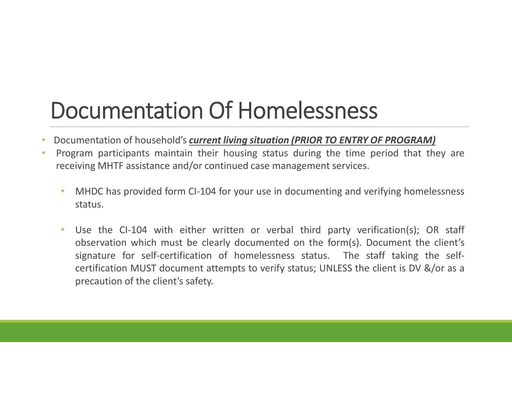## Documentation Of Homelessness

- Documentation of household's *current living situation (PRIOR TO ENTRY OF PROGRAM)*
- Program participants maintain their housing status during the time period that they are receiving MHTF assistance and/or continued case management services.
	- MHDC has provided form CI-104 for your use in documenting and verifying homelessness status.
	- Use the CI-104 with either written or verbal third party verification(s); OR staff observation which must be clearly documented on the form(s). Document the client's signature for self-certification of homelessness status. The staff taking the selfcertification MUST document attempts to verify status; UNLESS the client is DV &/or as a precaution of the client's safety.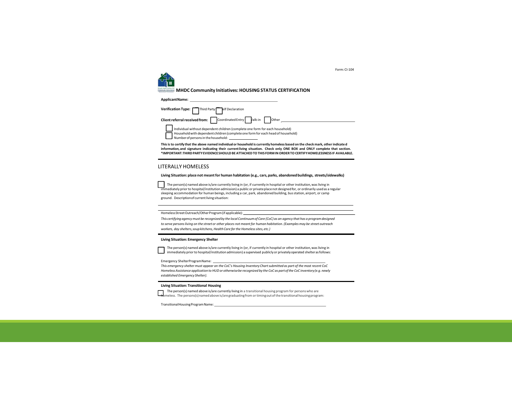

Form:CI-104

**MHDC Community Initiatives: HOUSING STATUS CERTIFICATION**

| ApplicantName:                                                               |
|------------------------------------------------------------------------------|
| Verification Type: Third Party elf Declaration                               |
| Client referral received from: Coordinated Entry Valk-in Other               |
| Individual without dependent children (complete one form for each household) |

This is to certify that the above named individual or household is currently homeless based on the check mark, other indicate d **information, and signature indicating their current living situation. Check only ONE BOX and ONLY complete that section. \*IMPORTANT:THIRDPARTY EVIDENCESHOULDBE ATTACHEDTOTHIS FORMIN ORDERTO CERTIFYHOMELESSNESS IF AVAILABLE.**

#### LITERALLY HOMELESS

#### **Living Situation: place not meant for human habitation (e.g., cars, parks, abandoned buildings, streets/sidewalks)**

 $\mathbf{I}$ The person(s) named above is/are currently living in (or, if currently in hospital or other institution, was living in immediately priorto hospital/institution admission) a public or privateplacenot designedfor, or ordinarily usedas a regular sleeping accommodation for human beings, including a car, park, abandoned building, bus station, airport, or camp ground. Descriptionof currentliving situation:

Homeless Street Outreach/Other Program (if applicable):

This certifying agency must be recognized by the local Continuum of Care (CoC) as an agency that has a program designed *to serve persons living on the street or other places not meant for human habitation. (Examples may be street outreach workers, day shelters,soupkitchens,Health Care forthe Homelesssites,etc.)*

#### **Living Situation: Emergency Shelter**

The person(s) named above is/are currently living in (or, if currently in hospital or other institution, was living in immediately priorto hospital/institutionadmission) a supervised publicly or privatelyoperated shelterasfollows:

Emergency ShelterProgramName:

*This emergency shelter must appear on the CoC's Housing Inventory Chart submitted as part of the most recent CoC HomelessAssistance application to HUD or otherwisebe recognized by the CoC as partofthe CoC inventory(e.g. newly established Emergency Shelter).*

#### **Living Situation: Transitional Housing**

The person(s) named above is/are currently living in a transitional housing program for persons who are l he person(s) named above is/are currently living in a transitional housing program for persons who are<br>homeless. The persons(s) named above is/are graduating from or timing out of the transitional housing program:

TransitionalHousingProgramName: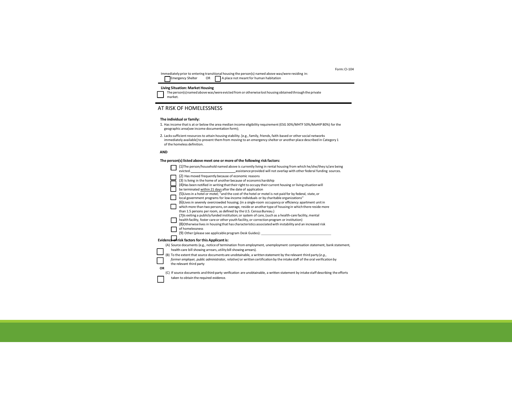Immediately prior to entering transitional housing the person(s) named above was/were residing in:<br>Γεπεται OR ΠΑρΙατείο της δεκατικής διακοικής της διακοικής της διακοικής του διακοικής διακοικής του διακοικής

#### **Living Situation: Market Housing**

The person(s) named above was/were evicted from or otherwise lost housing obtained through the private<br>market.

#### AT RISK OF HOMELESSNESS

#### **The individual or family:**

- 1. Has income that is at or below the area median income eligibility requirement (ESG 30%/MHTF 50%/MoHIP 80%) for the geographic area(see income documentation form);
- 2. Lacks sufficient resources to attain housing stability. [e.g., family, friends, faith-based or other social networks immediately available] to prevent them from moving to an emergency shelter or another place described in Category 1 of the homeless definition.

#### **AND**

#### **The person(s) listed above meet one or more of the following risk factors:**

|           | (1) The person/household named above is currently living in rental housing from which he/she/they is/are being<br>evicted. <b>Example 2</b> assistance provided will not overlap with other federal funding sources.                                                                                                                                                                                                                                                                                                                                                                                                                                                                                                                                                                                                                                                                                                                                                                                                                                                                                                                                                                                  |
|-----------|-------------------------------------------------------------------------------------------------------------------------------------------------------------------------------------------------------------------------------------------------------------------------------------------------------------------------------------------------------------------------------------------------------------------------------------------------------------------------------------------------------------------------------------------------------------------------------------------------------------------------------------------------------------------------------------------------------------------------------------------------------------------------------------------------------------------------------------------------------------------------------------------------------------------------------------------------------------------------------------------------------------------------------------------------------------------------------------------------------------------------------------------------------------------------------------------------------|
|           | (2) Has moved frequently because of economic reasons<br>(3) Is living in the home of another because of economichardship<br>(4) Has been notified in writing that their right to occupy their current housing or living situation will<br>be terminated within 21 days after the date of application<br>(5) Lives in a hotel or motel; "and the cost of the hotel or motel is not paid for by federal, state, or<br>local government programs for low-income individuals or by charitable organizations"<br>(6) Lives in severely overcrowded housing; (in a single-room occupancy or efficiency apartment unit in<br>which more than two persons, on average, reside or another type of housing in which there reside more<br>than 1.5 persons per room, as defined by the U.S. Census Bureau.)<br>(7) Is exiting a publicly funded institution; or system of care, (such as a health-care facility, mental<br>health facility, foster care or other youth facility, or correction program or institution)<br>(8) Otherwise lives in housing that has characteristics associated with instability and an increased risk<br>of homelessness<br>(9) Other (please see applicable program Desk Guides): |
|           | Evidence of risk factors for this Applicant is:                                                                                                                                                                                                                                                                                                                                                                                                                                                                                                                                                                                                                                                                                                                                                                                                                                                                                                                                                                                                                                                                                                                                                       |
|           | (A) Source documents (e.g., notice of termination from employment, unemployment compensation statement, bank statement,<br>health-care bill showing arrears, utility bill showing arrears).<br>(B) To the extent that source documents are unobtainable, a written statement by the relevant third party (e.g.,<br>former employer, public administrator, relative) or written certification by the intake staff of the oral verification by<br>the relevant third party                                                                                                                                                                                                                                                                                                                                                                                                                                                                                                                                                                                                                                                                                                                              |
| <b>OR</b> |                                                                                                                                                                                                                                                                                                                                                                                                                                                                                                                                                                                                                                                                                                                                                                                                                                                                                                                                                                                                                                                                                                                                                                                                       |
|           | (C) If source documents and third-party verification are unobtainable, a written statement by intake staff describing the efforts<br>taken to obtain the required evidence.                                                                                                                                                                                                                                                                                                                                                                                                                                                                                                                                                                                                                                                                                                                                                                                                                                                                                                                                                                                                                           |

Form:CI-104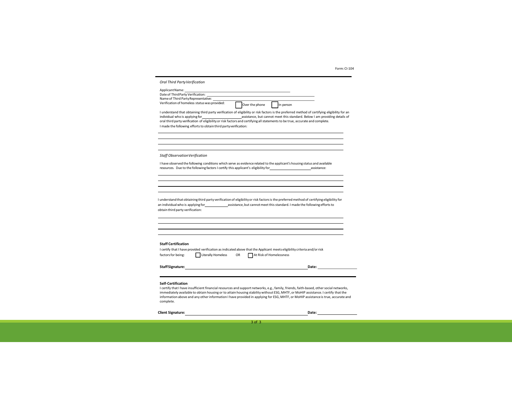Form:CI-104

| Applicant Name:                                                                      |                                                                                                                                                                                                   |                |                         |                                                                                                                                                                                                                                |  |
|--------------------------------------------------------------------------------------|---------------------------------------------------------------------------------------------------------------------------------------------------------------------------------------------------|----------------|-------------------------|--------------------------------------------------------------------------------------------------------------------------------------------------------------------------------------------------------------------------------|--|
|                                                                                      |                                                                                                                                                                                                   |                |                         |                                                                                                                                                                                                                                |  |
|                                                                                      | Name of Third Party Representative:<br>Verification of homeless status was provided:                                                                                                              |                |                         |                                                                                                                                                                                                                                |  |
|                                                                                      |                                                                                                                                                                                                   | Over the phone | In person               |                                                                                                                                                                                                                                |  |
| individual who is applying for                                                       | oral third party verification of eligibility or risk factors and certifying all statements to be true, accurate and complete.<br>I made the following efforts to obtain third party verification: |                |                         | I understand that obtaining third party verification of eligibility or risk factors is the preferred method of certifying eligibility for an<br>assistance, but cannot meet this standard. Below I am providing details of     |  |
| <b>Staff Observation Verification</b>                                                |                                                                                                                                                                                                   |                |                         |                                                                                                                                                                                                                                |  |
|                                                                                      | I have observed the following conditions which serve as evidence related to the applicant's housing status and available                                                                          |                |                         |                                                                                                                                                                                                                                |  |
|                                                                                      | resources. Due to the following factors I certify this applicant's eligibility for example assistance:                                                                                            |                |                         |                                                                                                                                                                                                                                |  |
|                                                                                      |                                                                                                                                                                                                   |                |                         |                                                                                                                                                                                                                                |  |
|                                                                                      |                                                                                                                                                                                                   |                |                         |                                                                                                                                                                                                                                |  |
|                                                                                      |                                                                                                                                                                                                   |                |                         |                                                                                                                                                                                                                                |  |
|                                                                                      |                                                                                                                                                                                                   |                |                         |                                                                                                                                                                                                                                |  |
|                                                                                      |                                                                                                                                                                                                   |                |                         |                                                                                                                                                                                                                                |  |
|                                                                                      | an individual who is applying for any assistance, but cannot meet this standard. I made the following efforts to                                                                                  |                |                         | I understand that obtaining third party verification of eligibility or risk factors is the preferred method of certifying eligibility for                                                                                      |  |
|                                                                                      |                                                                                                                                                                                                   |                |                         |                                                                                                                                                                                                                                |  |
|                                                                                      |                                                                                                                                                                                                   |                |                         |                                                                                                                                                                                                                                |  |
|                                                                                      |                                                                                                                                                                                                   |                |                         |                                                                                                                                                                                                                                |  |
|                                                                                      |                                                                                                                                                                                                   |                |                         |                                                                                                                                                                                                                                |  |
|                                                                                      |                                                                                                                                                                                                   |                |                         |                                                                                                                                                                                                                                |  |
|                                                                                      | I certify that I have provided verification as indicated above that the Applicant meets eligibility criteria and/or risk                                                                          |                |                         |                                                                                                                                                                                                                                |  |
|                                                                                      | <b>Literally Homeless</b>                                                                                                                                                                         | OR             | At Risk of Homelessness |                                                                                                                                                                                                                                |  |
| obtain third party verification:<br><b>Staff Certification</b><br>factors for being: |                                                                                                                                                                                                   |                |                         |                                                                                                                                                                                                                                |  |
| Staff Signature:                                                                     |                                                                                                                                                                                                   |                |                         | Date: the contract of the contract of the contract of the contract of the contract of the contract of the contract of the contract of the contract of the contract of the contract of the contract of the contract of the cont |  |
|                                                                                      |                                                                                                                                                                                                   |                |                         |                                                                                                                                                                                                                                |  |
|                                                                                      |                                                                                                                                                                                                   |                |                         |                                                                                                                                                                                                                                |  |

complete. **Client Signature: Date: Date: Date: Date: Date: Date: Date: Date: Date: Date: Date: Date: Date: Date: Date: Date: Date: Date: Date: Date: Date: Date: Date: Date: Date: D**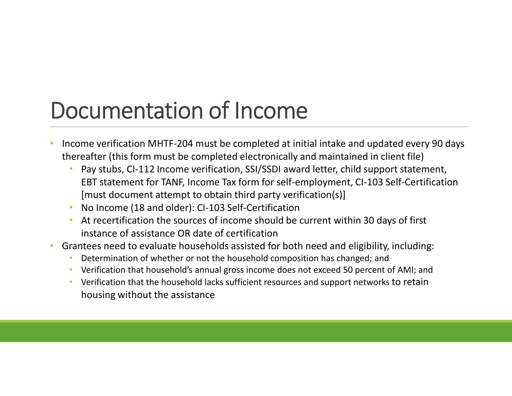# Documentation of Income

- Income verification MHTF-204 must be completed at initial intake and updated every 90 days thereafter (this form must be completed electronically and maintained in client file)
	- Pay stubs, CI-112 Income verification, SSI/SSDI award letter, child support statement, EBT statement for TANF, Income Tax form for self-employment, CI-103 Self-Certification [must document attempt to obtain third party verification(s)]
	- No Income (18 and older): CI-103 Self-Certification
	- At recertification the sources of income should be current within 30 days of first instance of assistance OR date of certification
- Grantees need to evaluate households assisted for both need and eligibility, including:
	- Determination of whether or not the household composition has changed; and
	- Verification that household's annual gross income does not exceed 50 percent of AMI; and
	- Verification that the household lacks sufficient resources and support networks to retain housing without the assistance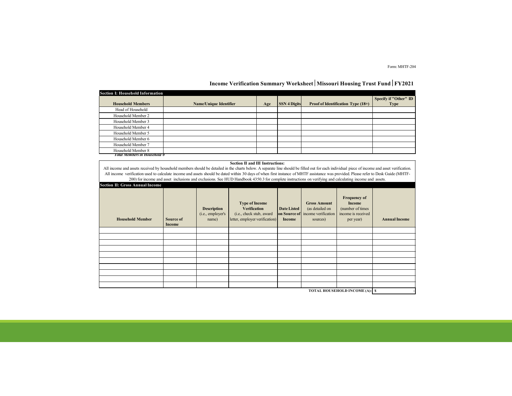Form: MHTF-204

#### **Income Verification Summary Worksheet** | Missouri Housing Trust Fund | FY2021

| <b>Section I: Household Information</b> |                               |     |                     |                                    |                       |  |
|-----------------------------------------|-------------------------------|-----|---------------------|------------------------------------|-----------------------|--|
|                                         |                               |     |                     |                                    | Specify if "Other" ID |  |
| <b>Household Members</b>                | <b>Name/Unique Identifier</b> | Age | <b>SSN 4 Digits</b> | Proof of Identification Type (18+) | <b>Type</b>           |  |
| Head of Household                       |                               |     |                     |                                    |                       |  |
| Household Member 2                      |                               |     |                     |                                    |                       |  |
| Household Member 3                      |                               |     |                     |                                    |                       |  |
| Household Member 4                      |                               |     |                     |                                    |                       |  |
| Household Member 5                      |                               |     |                     |                                    |                       |  |
| Household Member 6                      |                               |     |                     |                                    |                       |  |
| Household Member 7                      |                               |     |                     |                                    |                       |  |
| Household Member 8                      |                               |     |                     |                                    |                       |  |
| <b>Total Members in Household 0</b>     |                               |     |                     |                                    |                       |  |

#### **Section II and III Instructions:**

All income and assets received by household members should be detailed in the charts below. A separate line should be filled out for each individual piece of income and asset verification. All income verification used to calculate income and assets should be dated within 30 days of when first instance of MHTF assistance was provided. Please refer to Desk Guide (MHTF-200) for income and asset inclusions and exclusions. See HUD Handbook 4350.3 for complete instructions on verifying and calculating income and assets.

| <b>Section II: Gross Annual Income</b> |                     |                                                  |                                                                                                            |                                              |                                                                           |                                                                                      |                      |
|----------------------------------------|---------------------|--------------------------------------------------|------------------------------------------------------------------------------------------------------------|----------------------------------------------|---------------------------------------------------------------------------|--------------------------------------------------------------------------------------|----------------------|
| <b>Household Member</b>                | Source of<br>Income | <b>Description</b><br>(i.e., employer's<br>name) | <b>Type of Income</b><br><b>Verification</b><br>(i.e., check stub, award<br>letter, employer verification) | <b>Date Listed</b><br>on Source of<br>Income | <b>Gross Amount</b><br>(as detailed on<br>income verification<br>sources) | <b>Frequency of</b><br>Income<br>(number of times<br>income is received<br>per year) | <b>Annual Income</b> |
|                                        |                     |                                                  |                                                                                                            |                                              |                                                                           |                                                                                      |                      |
|                                        |                     |                                                  |                                                                                                            |                                              |                                                                           |                                                                                      |                      |
|                                        |                     |                                                  |                                                                                                            |                                              |                                                                           |                                                                                      |                      |
|                                        |                     |                                                  |                                                                                                            |                                              |                                                                           |                                                                                      |                      |
|                                        |                     |                                                  |                                                                                                            |                                              |                                                                           |                                                                                      |                      |
|                                        |                     |                                                  |                                                                                                            |                                              |                                                                           |                                                                                      |                      |
|                                        |                     |                                                  |                                                                                                            |                                              |                                                                           |                                                                                      |                      |
|                                        |                     |                                                  |                                                                                                            |                                              |                                                                           |                                                                                      |                      |
|                                        |                     |                                                  |                                                                                                            |                                              |                                                                           |                                                                                      |                      |
|                                        |                     |                                                  |                                                                                                            |                                              |                                                                           |                                                                                      |                      |
|                                        |                     |                                                  |                                                                                                            |                                              |                                                                           | <b>TOTAL HOUSEHOLD INCOME (A): S</b>                                                 |                      |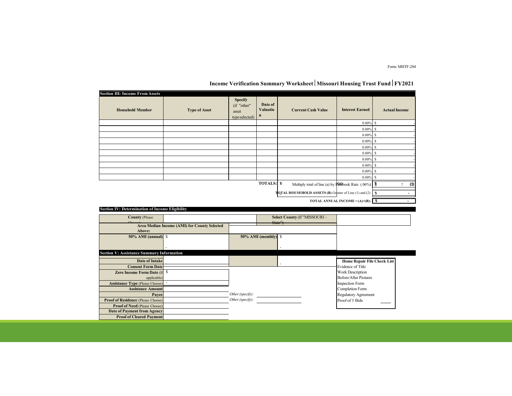Form: MHTF-204

| <b>Section III: Income From Assets</b>           |                                              |                                                          |                                       |                                                                                         |                                    |                      |
|--------------------------------------------------|----------------------------------------------|----------------------------------------------------------|---------------------------------------|-----------------------------------------------------------------------------------------|------------------------------------|----------------------|
| <b>Household Member</b>                          | <b>Type of Asset</b>                         | <b>Specify</b><br>(if "other"<br>asset<br>type selected) | Date of<br><b>Valuatio</b><br>$\bf n$ | <b>Current Cash Value</b>                                                               | <b>Interest Earned</b>             | <b>Actual Income</b> |
|                                                  |                                              |                                                          |                                       |                                                                                         | $0.00\%$ \$                        |                      |
|                                                  |                                              |                                                          |                                       |                                                                                         | $0.00\%$ \$                        |                      |
|                                                  |                                              |                                                          |                                       |                                                                                         | $0.00\%$ \$                        |                      |
|                                                  |                                              |                                                          |                                       |                                                                                         | $0.00\%$                           | s                    |
|                                                  |                                              |                                                          |                                       |                                                                                         | 0.00%                              | s                    |
|                                                  |                                              |                                                          |                                       |                                                                                         | 0.00%                              | $\mathbb S$          |
|                                                  |                                              |                                                          |                                       |                                                                                         | 0.00%                              | s                    |
|                                                  |                                              |                                                          |                                       |                                                                                         | $0.00\%$                           | s                    |
|                                                  |                                              |                                                          |                                       |                                                                                         | $0.00\%$                           | s                    |
|                                                  |                                              |                                                          |                                       |                                                                                         | $0.00\%$                           | s                    |
|                                                  |                                              |                                                          | <b>TOTALS: S</b>                      | Multiply total of line (a) by $\mathbb{P}$ $\left[\frac{1}{2}\right]$ book Rate: (.06%) |                                    | (1)<br>Ξ             |
|                                                  |                                              |                                                          |                                       | TOTAL HOUSEHOLD ASSETS (B) Greater of Line (1) and (2)                                  |                                    | $\mathbf{s}$         |
|                                                  |                                              |                                                          |                                       |                                                                                         |                                    |                      |
|                                                  |                                              |                                                          |                                       |                                                                                         |                                    |                      |
| Section IV: Determination of Income Eligibility  |                                              |                                                          |                                       |                                                                                         |                                    |                      |
| <b>County (Please</b>                            |                                              |                                                          |                                       | Select County (If "MISSOURI -                                                           |                                    |                      |
|                                                  |                                              |                                                          |                                       | State"):                                                                                |                                    |                      |
| Above:                                           | Area Median Income (AMI) for County Selected |                                                          |                                       |                                                                                         |                                    |                      |
| $50\%$ AMI (annual) $\text{\$}$                  |                                              |                                                          | $50\%$ AMI (monthly) $\$\$            |                                                                                         |                                    |                      |
|                                                  |                                              |                                                          |                                       |                                                                                         |                                    |                      |
|                                                  |                                              |                                                          |                                       |                                                                                         |                                    |                      |
| <b>Section V: Assistance Summary Information</b> |                                              |                                                          |                                       |                                                                                         |                                    |                      |
| <b>Date of Intake</b>                            |                                              |                                                          |                                       |                                                                                         | <b>Home Repair File Check List</b> |                      |
| <b>Consent Form Date</b>                         |                                              |                                                          |                                       |                                                                                         | <b>Evidence of Title</b>           |                      |
| Zero Income Form Date (If                        | \$                                           |                                                          |                                       |                                                                                         | Work Description                   |                      |
| applicable)                                      |                                              |                                                          |                                       |                                                                                         | <b>Before/After Pictures</b>       |                      |
| <b>Assistance Type (Please Choose)</b>           |                                              |                                                          |                                       |                                                                                         | Inspection Form                    |                      |
| <b>Assistance Amount</b>                         |                                              |                                                          |                                       |                                                                                         | Completion Form                    |                      |
| Payee                                            |                                              | Other (specify):                                         |                                       |                                                                                         | Regulatory Agreement               |                      |
| <b>Proof of Residence (Please Choose)</b>        |                                              | Other (specify):                                         |                                       |                                                                                         | Proof of 3 Bids                    |                      |
| <b>Proof of Need (Please Choose)</b>             |                                              |                                                          |                                       |                                                                                         |                                    |                      |
| Date of Payment from Agency                      |                                              |                                                          |                                       |                                                                                         |                                    |                      |
| <b>Proof of Cleared Payment</b>                  |                                              |                                                          |                                       |                                                                                         |                                    |                      |

### **Income Verification Summary Worksheet** | Missouri Housing Trust Fund | FY2021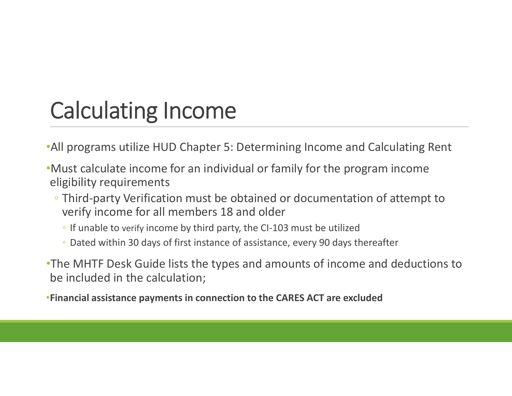# Calculating Income

- •All programs utilize HUD Chapter 5: Determining Income and Calculating Rent
- •Must calculate income for an individual or family for the program income eligibility requirements
	- Third-party Verification must be obtained or documentation of attempt to verify income for all members 18 and older
		- If unable to verify income by third party, the CI-103 must be utilized
		- Dated within 30 days of first instance of assistance, every 90 days thereafter
- •The MHTF Desk Guide lists the types and amounts of income and deductions to be included in the calculation;
- •**Financial assistance payments in connection to the CARES ACT are excluded**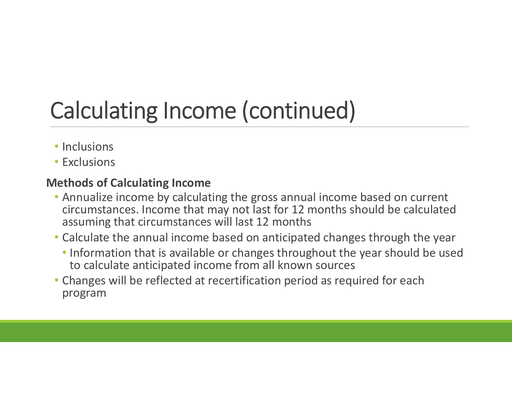# Calculating Income (continued)

- Inclusions
- Exclusions

### **Methods of Calculating Income**

- Annualize income by calculating the gross annual income based on current circumstances. Income that may not last for 12 months should be calculated assuming that circumstances will last 12 months
- Calculate the annual income based on anticipated changes through the year
	- Information that is available or changes throughout the year should be used to calculate anticipated income from all known sources
- Changes will be reflected at recertification period as required for each program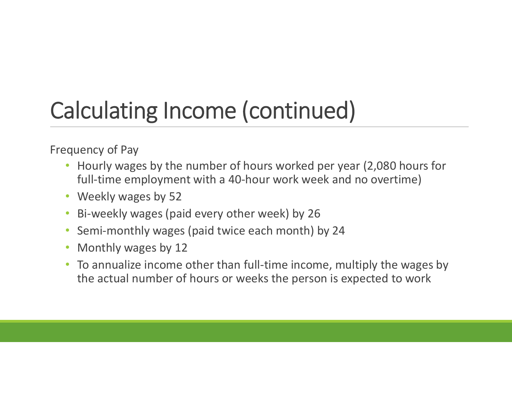# Calculating Income (continued)

Frequency of Pay

- Hourly wages by the number of hours worked per year (2,080 hours for full-time employment with a 40-hour work week and no overtime)
- Weekly wages by 52
- Bi-weekly wages (paid every other week) by 26
- Semi-monthly wages (paid twice each month) by 24
- Monthly wages by 12
- To annualize income other than full-time income, multiply the wages by the actual number of hours or weeks the person is expected to work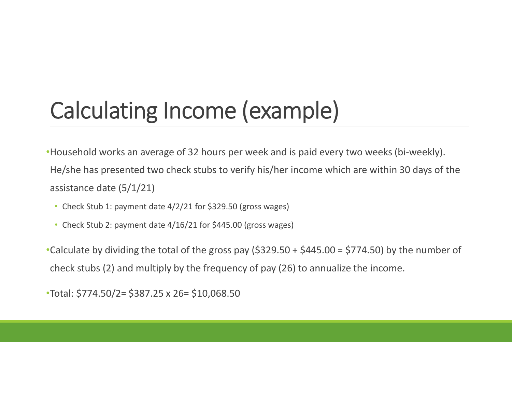# Calculating Income (example)

•Household works an average of 32 hours per week and is paid every two weeks (bi-weekly). He/she has presented two check stubs to verify his/her income which are within 30 days of the assistance date (5/1/21)

- Check Stub 1: payment date 4/2/21 for \$329.50 (gross wages)
- Check Stub 2: payment date 4/16/21 for \$445.00 (gross wages)

•Calculate by dividing the total of the gross pay (\$329.50 + \$445.00 = \$774.50) by the number of check stubs (2) and multiply by the frequency of pay (26) to annualize the income.

•Total: \$774.50/2= \$387.25 x 26= \$10,068.50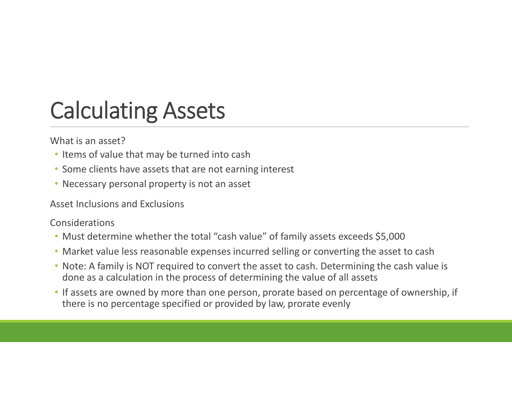# Calculating Assets

What is an asset?

- Items of value that may be turned into cash
- Some clients have assets that are not earning interest
- Necessary personal property is not an asset

Asset Inclusions and Exclusions

Considerations

- Must determine whether the total "cash value" of family assets exceeds \$5,000
- Market value less reasonable expenses incurred selling or converting the asset to cash
- Note: A family is NOT required to convert the asset to cash. Determining the cash value is done as a calculation in the process of determining the value of all assets
- If assets are owned by more than one person, prorate based on percentage of ownership, if there is no percentage specified or provided by law, prorate evenly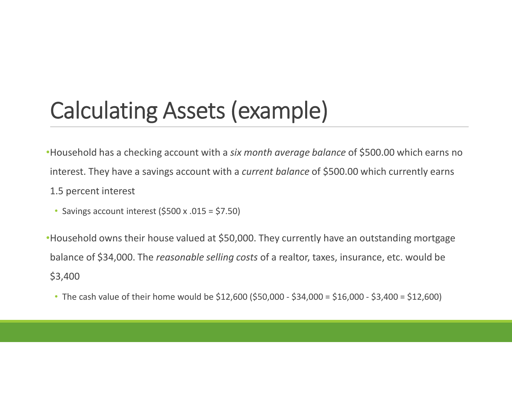# Calculating Assets (example)

•Household has a checking account with a *six month average balance* of \$500.00 which earns no interest. They have a savings account with a *current balance* of \$500.00 which currently earns 1.5 percent interest

• Savings account interest (\$500 x .015 = \$7.50)

•Household owns their house valued at \$50,000. They currently have an outstanding mortgage balance of \$34,000. The *reasonable selling costs* of a realtor, taxes, insurance, etc. would be \$3,400

• The cash value of their home would be \$12,600 (\$50,000 - \$34,000 = \$16,000 - \$3,400 = \$12,600)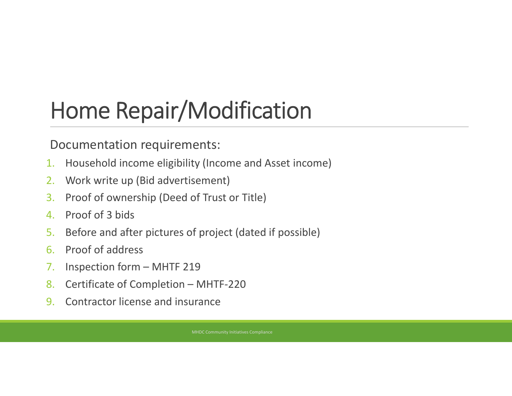# Home Repair/Modification

### Documentation requirements:

- 1. Household income eligibility (Income and Asset income)
- 2. Work write up (Bid advertisement)
- 3. Proof of ownership (Deed of Trust or Title)
- 4. Proof of 3 bids
- 5. Before and after pictures of project (dated if possible)
- 6. Proof of address
- 7. Inspection form MHTF 219
- 8. Certificate of Completion MHTF-220
- 9. Contractor license and insurance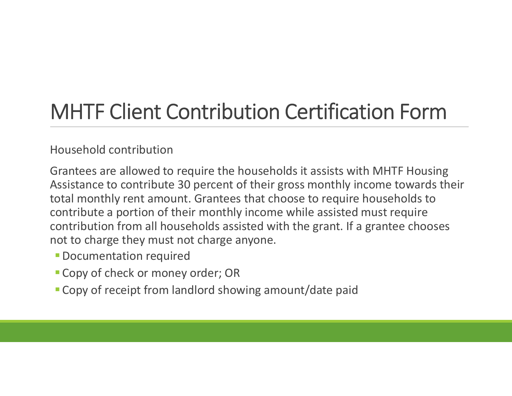## MHTF Client Contribution Certification Form

### Household contribution

Grantees are allowed to require the households it assists with MHTF Housing Assistance to contribute 30 percent of their gross monthly income towards their total monthly rent amount. Grantees that choose to require households to contribute a portion of their monthly income while assisted must require contribution from all households assisted with the grant. If a grantee chooses not to charge they must not charge anyone.

- **Documentation required**
- Copy of check or money order; OR
- **Copy of receipt from landlord showing amount/date paid**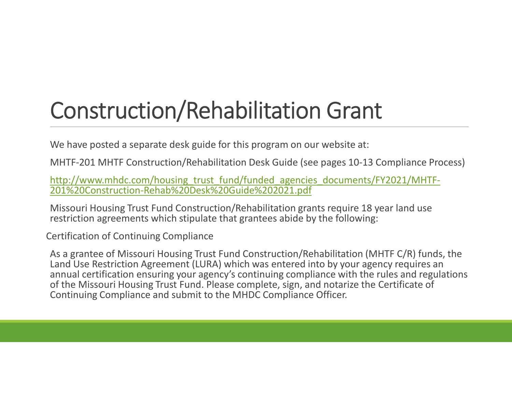# Construction/Rehabilitation Grant

We have posted a separate desk guide for this program on our website at:

MHTF-201 MHTF Construction/Rehabilitation Desk Guide (see pages 10-13 Compliance Process)

http://www.mhdc.com/housing\_trust\_fund/funded\_agencies\_documents/FY2021/MHTF-<br>201%20Construction-Rehab%20Desk%20Guide%202021.pdf

Missouri Housing Trust Fund Construction/Rehabilitation grants require 18 year land use restriction agreements which stipulate that grantees abide by the following:

Certification of Continuing Compliance

As a grantee of Missouri Housing Trust Fund Construction/Rehabilitation (MHTF C/R) funds, the Land Use Restriction Agreement (LURA) which was entered into by your agency requires an annual certification ensuring your agency's continuing compliance with the rules and regulations of the Missouri Housing Trust Fund. Please complete, sign, and notarize the Certificate of Continuing Compliance and submit to the MHDC Compliance Officer.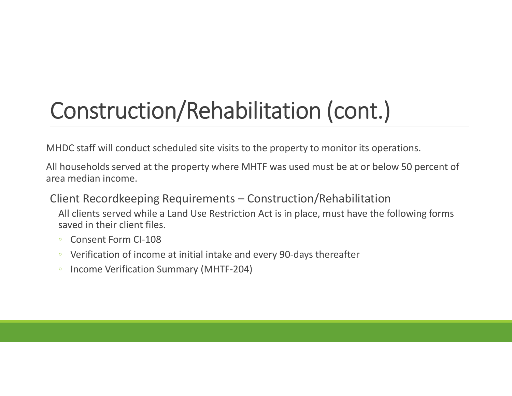# Construction/Rehabilitation (cont.)

MHDC staff will conduct scheduled site visits to the property to monitor its operations.

All households served at the property where MHTF was used must be at or below 50 percent of area median income.

### Client Recordkeeping Requirements – Construction/Rehabilitation

All clients served while a Land Use Restriction Act is in place, must have the following forms saved in their client files.

- Consent Form CI-108
- Verification of income at initial intake and every 90-days thereafter
- Income Verification Summary (MHTF-204)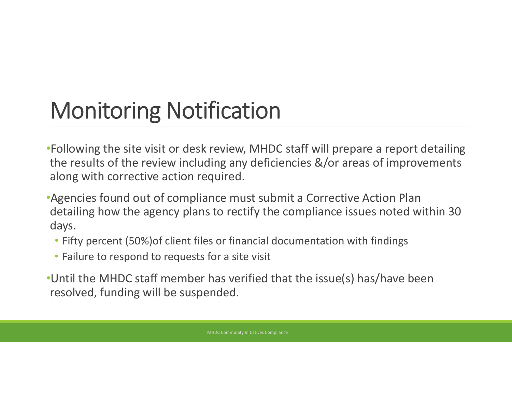# Monitoring Notification

- •Following the site visit or desk review, MHDC staff will prepare a report detailing the results of the review including any deficiencies &/or areas of improvements along with corrective action required.
- •Agencies found out of compliance must submit a Corrective Action Plan detailing how the agency plans to rectify the compliance issues noted within 30 days.
	- Fifty percent (50%)of client files or financial documentation with findings
	- Failure to respond to requests for a site visit
- •Until the MHDC staff member has verified that the issue(s) has/have been resolved, funding will be suspended.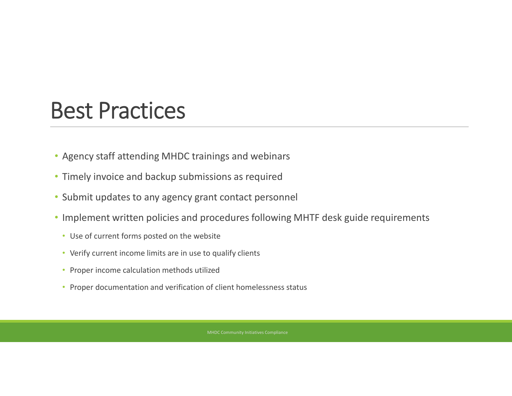## Best Practices

- Agency staff attending MHDC trainings and webinars
- Timely invoice and backup submissions as required
- Submit updates to any agency grant contact personnel
- Implement written policies and procedures following MHTF desk guide requirements
	- Use of current forms posted on the website
	- Verify current income limits are in use to qualify clients
	- Proper income calculation methods utilized
	- Proper documentation and verification of client homelessness status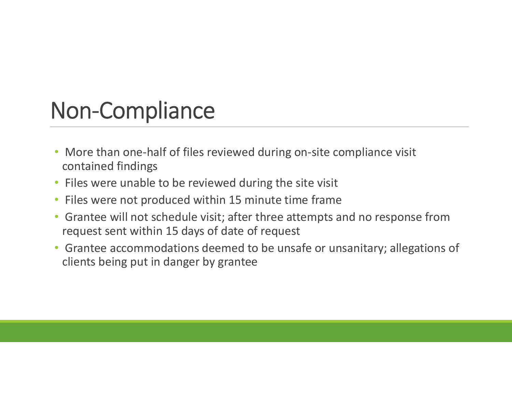## Non-Compliance

- More than one-half of files reviewed during on-site compliance visit contained findings
- Files were unable to be reviewed during the site visit
- Files were not produced within 15 minute time frame
- Grantee will not schedule visit; after three attempts and no response from request sent within 15 days of date of request
- Grantee accommodations deemed to be unsafe or unsanitary; allegations of clients being put in danger by grantee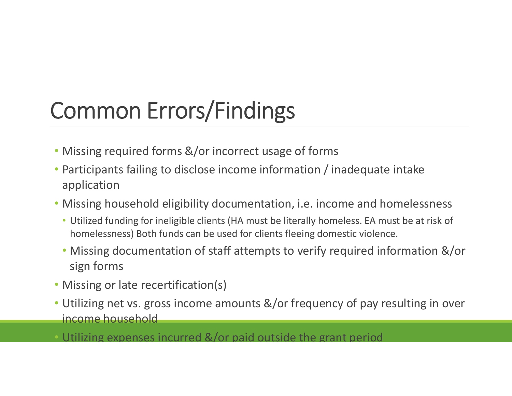# Common Errors/Findings

- Missing required forms &/or incorrect usage of forms
- Participants failing to disclose income information / inadequate intake application
- Missing household eligibility documentation, i.e. income and homelessness
	- Utilized funding for ineligible clients (HA must be literally homeless. EA must be at risk of homelessness) Both funds can be used for clients fleeing domestic violence.
	- Missing documentation of staff attempts to verify required information &/or sign forms
- Missing or late recertification(s)
- Utilizing net vs. gross income amounts &/or frequency of pay resulting in over income household
- Utilizing expenses incurred &/or paid outside the grant period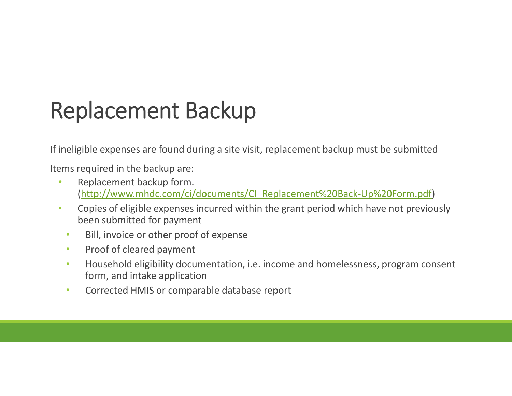## Replacement Backup

If ineligible expenses are found during a site visit, replacement backup must be submitted

Items required in the backup are:

- Replacement backup form. (http://www.mhdc.com/ci/documents/CI\_Replacement%20Back-Up%20Form.pdf)
- Copies of eligible expenses incurred within the grant period which have not previously been submitted for payment
	- Bill, invoice or other proof of expense
	- Proof of cleared payment
	- Household eligibility documentation, i.e. income and homelessness, program consent form, and intake application
	- Corrected HMIS or comparable database report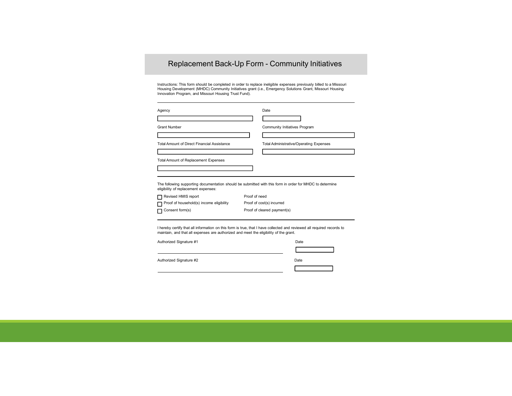#### Replacement Back-Up Form - Community Initiatives

Instructions: This form should be completed in order to replace ineligible expenses previously billed to a Missouri<br>Housing Development (MHDC) Community Initiatives grant (i.e., Emergency Solutions Grant, Missouri Housing<br>

| Agency                                      | Date                                                                                                     |
|---------------------------------------------|----------------------------------------------------------------------------------------------------------|
|                                             |                                                                                                          |
| <b>Grant Number</b>                         | Community Initiatives Program                                                                            |
|                                             |                                                                                                          |
| Total Amount of Direct Financial Assistance | <b>Total Administrative/Operating Expenses</b>                                                           |
|                                             |                                                                                                          |
| <b>Total Amount of Replacement Expenses</b> |                                                                                                          |
|                                             |                                                                                                          |
|                                             |                                                                                                          |
| eligibility of replacement expenses:        | The following supporting documentation should be submitted with this form in order for MHDC to determine |
| Revised HMIS report                         | Proof of need                                                                                            |
| Proof of household(s) income eligibility    | Proof of cost(s) incurred                                                                                |
| Consent form(s)                             | Proof of cleared payment(s)                                                                              |

I hereby certify that all information on this form is true, that I have collected and reviewed all required records to maintain, and that all expenses are authorized and meet the eligibility of the grant.

Authorized Signature #1 Date Authorized Signature #2 Date